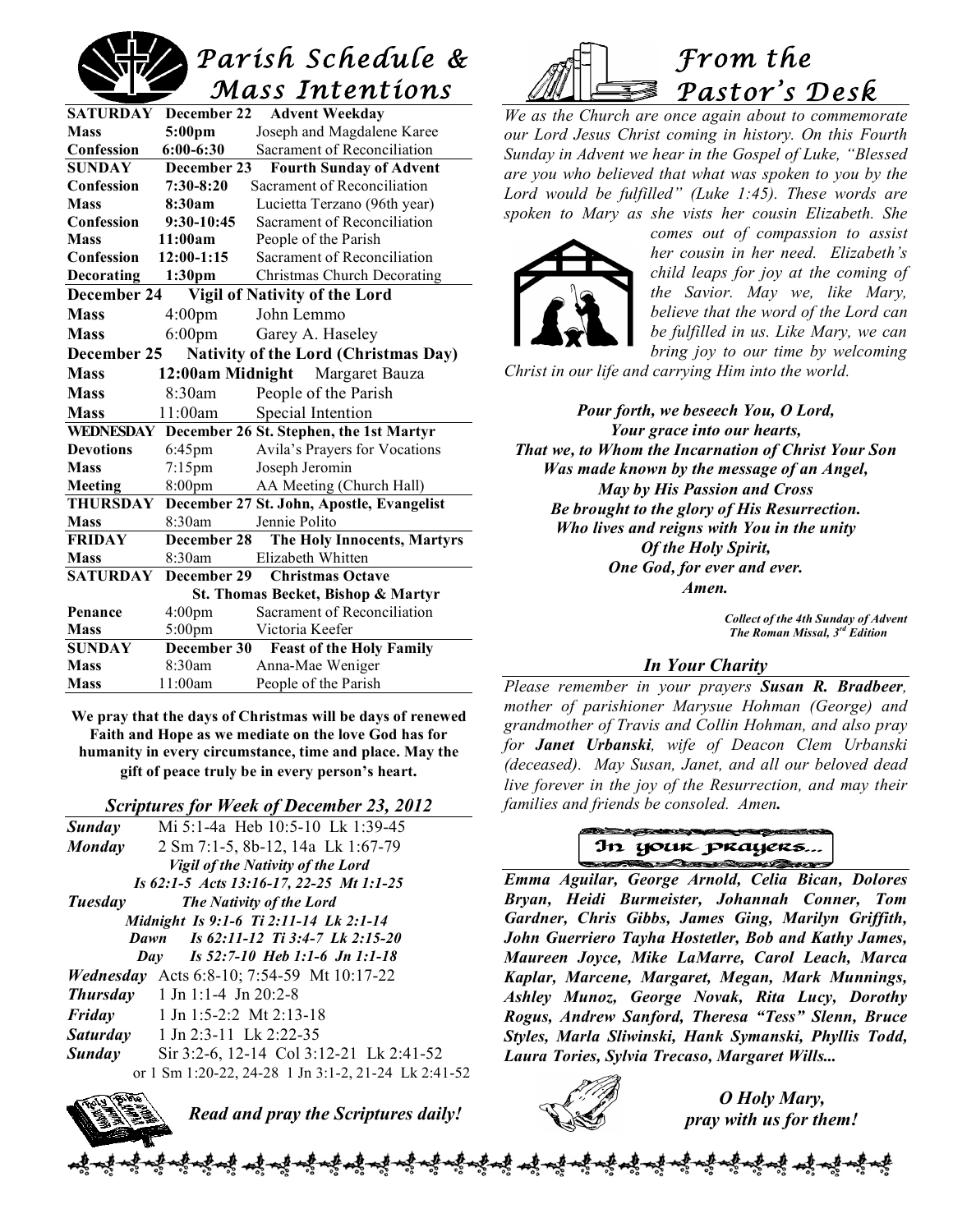# *Parish Schedule & Mass Intentions*

| <b>SATURDAY</b>                                            | December 22        | <b>Advent Weekday</b>           |  |
|------------------------------------------------------------|--------------------|---------------------------------|--|
| <b>Mass</b>                                                | 5:00 <sub>pm</sub> | Joseph and Magdalene Karee      |  |
| Confession                                                 | $6:00 - 6:30$      | Sacrament of Reconciliation     |  |
| <b>SUNDAY</b>                                              | December 23        | <b>Fourth Sunday of Advent</b>  |  |
| Confession                                                 | $7:30-8:20$        | Sacrament of Reconciliation     |  |
| <b>Mass</b>                                                | 8:30am             | Lucietta Terzano (96th year)    |  |
| Confession                                                 | 9:30-10:45         | Sacrament of Reconciliation     |  |
| <b>Mass</b>                                                | 11:00am            | People of the Parish            |  |
| Confession                                                 | $12:00-1:15$       | Sacrament of Reconciliation     |  |
| <b>Decorating</b>                                          | 1:30 <sub>pm</sub> | Christmas Church Decorating     |  |
| December 24<br>Vigil of Nativity of the Lord               |                    |                                 |  |
| <b>Mass</b>                                                | 4:00 <sub>pm</sub> | John Lemmo                      |  |
| <b>Mass</b>                                                | $6:00$ pm          | Garey A. Haseley                |  |
| <b>Nativity of the Lord (Christmas Day)</b><br>December 25 |                    |                                 |  |
| <b>Mass</b>                                                |                    | 12:00am Midnight Margaret Bauza |  |
| <b>Mass</b>                                                | 8:30am             | People of the Parish            |  |
| <b>Mass</b>                                                | 11:00am            | Special Intention               |  |
| WEDNESDAY<br>December 26 St. Stephen, the 1st Martyr       |                    |                                 |  |
| <b>Devotions</b>                                           | $6:45$ pm          | Avila's Prayers for Vocations   |  |
| <b>Mass</b>                                                | $7:15$ pm          | Joseph Jeromin                  |  |
| <b>Meeting</b>                                             | 8:00pm             | AA Meeting (Church Hall)        |  |
| December 27 St. John, Apostle, Evangelist<br>THURSDAY      |                    |                                 |  |
| <b>Mass</b>                                                | 8:30am             | Jennie Polito                   |  |
| <b>FRIDAY</b>                                              | December 28        | The Holy Innocents, Martyrs     |  |
| <b>Mass</b>                                                | 8:30am             | Elizabeth Whitten               |  |
| <b>SATURDAY</b>                                            | December 29        | <b>Christmas Octave</b>         |  |
| St. Thomas Becket, Bishop & Martyr                         |                    |                                 |  |
| Penance                                                    | 4:00 <sub>pm</sub> | Sacrament of Reconciliation     |  |
| <b>Mass</b>                                                | $5:00 \text{pm}$   | Victoria Keefer                 |  |
| <b>SUNDAY</b>                                              | December 30        | <b>Feast of the Holy Family</b> |  |
| <b>Mass</b>                                                | 8:30am             | Anna-Mae Weniger                |  |
| <b>Mass</b>                                                | 11:00am            | People of the Parish            |  |

*From the Pastor's Desk*  こえ

*We as the Church are once again about to commemorate our Lord Jesus Christ coming in history. On this Fourth Sunday in Advent we hear in the Gospel of Luke, "Blessed are you who believed that what was spoken to you by the Lord would be fulfilled" (Luke 1:45). These words are spoken to Mary as she vists her cousin Elizabeth. She* 



*comes out of compassion to assist her cousin in her need. Elizabeth's child leaps for joy at the coming of the Savior. May we, like Mary, believe that the word of the Lord can be fulfilled in us. Like Mary, we can bring joy to our time by welcoming*

*Christ in our life and carrying Him into the world.*

*Pour forth, we beseech You, O Lord, Your grace into our hearts, That we, to Whom the Incarnation of Christ Your Son Was made known by the message of an Angel, May by His Passion and Cross Be brought to the glory of His Resurrection. Who lives and reigns with You in the unity Of the Holy Spirit, One God, for ever and ever. Amen.*

> *Collect of the 4th Sunday of Advent The Roman Missal, 3rd Edition*

## *In Your Charity*

*Please remember in your prayers Susan R. Bradbeer, mother of parishioner Marysue Hohman (George) and grandmother of Travis and Collin Hohman, and also pray for Janet Urbanski, wife of Deacon Clem Urbanski (deceased). May Susan, Janet, and all our beloved dead live forever in the joy of the Resurrection, and may their families and friends be consoled. Amen.*

## In your prayers... **SARROW BALLARY**

*Emma Aguilar, George Arnold, Celia Bican, Dolores Bryan, Heidi Burmeister, Johannah Conner, Tom Gardner, Chris Gibbs, James Ging, Marilyn Griffith, John Guerriero Tayha Hostetler, Bob and Kathy James, Maureen Joyce, Mike LaMarre, Carol Leach, Marca Kaplar, Marcene, Margaret, Megan, Mark Munnings, Ashley Munoz, George Novak, Rita Lucy, Dorothy Rogus, Andrew Sanford, Theresa "Tess" Slenn, Bruce Styles, Marla Sliwinski, Hank Symanski, Phyllis Todd, Laura Tories, Sylvia Trecaso, Margaret Wills...*



*O Holy Mary, pray with us for them!*

**We pray that the days of Christmas will be days of renewed Faith and Hope as we mediate on the love God has for humanity in every circumstance, time and place. May the gift of peace truly be in every person's heart.**

#### *Scriptures for Week of December 23, 2012*

| <b>Sunday</b>                            | Mi 5:1-4a Heb 10:5-10 Lk 1:39-45                    |  |  |
|------------------------------------------|-----------------------------------------------------|--|--|
| <b>Monday</b>                            | 2 Sm 7:1-5, 8b-12, 14a Lk 1:67-79                   |  |  |
|                                          | <b>Vigil of the Nativity of the Lord</b>            |  |  |
| Is 62:1-5 Acts 13:16-17, 22-25 Mt 1:1-25 |                                                     |  |  |
| Tuesday                                  | <b>The Nativity of the Lord</b>                     |  |  |
| Midnight Is 9:1-6 Ti 2:11-14 Lk 2:1-14   |                                                     |  |  |
|                                          | Is 62:11-12 Ti 3:4-7 Lk 2:15-20<br>Dawn             |  |  |
|                                          | Day Is 52:7-10 Heb 1:1-6 Jn 1:1-18                  |  |  |
|                                          | <b>Wednesday</b> Acts 6:8-10; 7:54-59 Mt 10:17-22   |  |  |
|                                          | <b>Thursday</b> 1 Jn 1:1-4 Jn 20:2-8                |  |  |
|                                          | <b>Friday</b> 1 Jn 1:5-2:2 Mt 2:13-18               |  |  |
|                                          | <b>Saturday</b> 1 Jn 2:3-11 Lk 2:22-35              |  |  |
| <b>Sunday</b>                            | Sir 3:2-6, 12-14 Col 3:12-21 Lk 2:41-52             |  |  |
|                                          | or 1 Sm 1:20-22, 24-28 1 Jn 3:1-2, 21-24 Lk 2:41-52 |  |  |
|                                          |                                                     |  |  |



*Read and pray the Scriptures daily!*